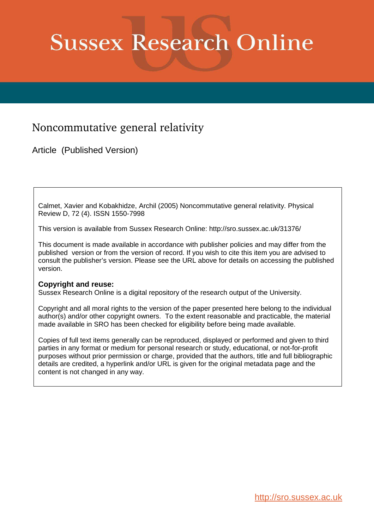# **Sussex Research Online**

## Noncommutative general relativity

Article (Published Version)

Calmet, Xavier and Kobakhidze, Archil (2005) Noncommutative general relativity. Physical Review D, 72 (4). ISSN 1550-7998

This version is available from Sussex Research Online: http://sro.sussex.ac.uk/31376/

This document is made available in accordance with publisher policies and may differ from the published version or from the version of record. If you wish to cite this item you are advised to consult the publisher's version. Please see the URL above for details on accessing the published version.

### **Copyright and reuse:**

Sussex Research Online is a digital repository of the research output of the University.

Copyright and all moral rights to the version of the paper presented here belong to the individual author(s) and/or other copyright owners. To the extent reasonable and practicable, the material made available in SRO has been checked for eligibility before being made available.

Copies of full text items generally can be reproduced, displayed or performed and given to third parties in any format or medium for personal research or study, educational, or not-for-profit purposes without prior permission or charge, provided that the authors, title and full bibliographic details are credited, a hyperlink and/or URL is given for the original metadata page and the content is not changed in any way.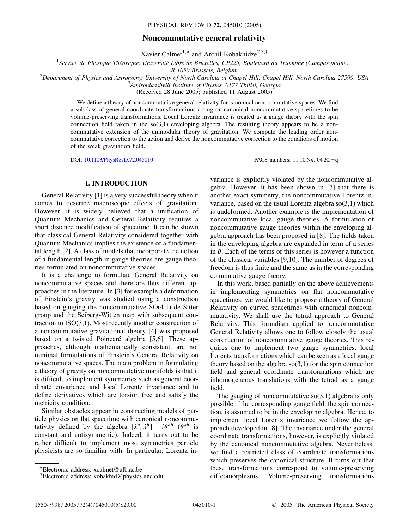#### **Noncommutative general relativity**

Xavier Calmet<sup>1,\*</sup> and Archil Kobakhidze<sup>2,3,†</sup>

<sup>1</sup> Service de Physique Théorique, Université Libre de Bruxelles, CP225, Boulevard du Triomphe (Campus plaine),

*B-1050 Brussels, Belgium*

<sup>2</sup>*Department of Physics and Astronomy, University of North Carolina at Chapel Hill, Chapel Hill, North Carolina 27599, USA*

3 *Andronikashvili Institute of Physics, 0177 Tbilisi, Georgia*

(Received 28 June 2005; published 11 August 2005)

We define a theory of noncommutative general relativity for canonical noncommutative spaces. We find a subclass of general coordinate transformations acting on canonical noncommutative spacetimes to be volume-preserving transformations. Local Lorentz invariance is treated as a gauge theory with the spin connection field taken in the  $\text{so}(3,1)$  enveloping algebra. The resulting theory appears to be a noncommutative extension of the unimodular theory of gravitation. We compute the leading order noncommutative correction to the action and derive the noncommutative correction to the equations of motion of the weak gravitation field.

DOI: [10.1103/PhysRevD.72.045010](http://dx.doi.org/10.1103/PhysRevD.72.045010) PACS numbers: 11.10.Nx, 04.20.-q

#### **I. INTRODUCTION**

General Relativity [1] is a very successful theory when it comes to describe macroscopic effects of gravitation. However, it is widely believed that a unification of Quantum Mechanics and General Relativity requires a short distance modification of spacetime. It can be shown that classical General Relativity considered together with Quantum Mechanics implies the existence of a fundamental length [2]. A class of models that incorporate the notion of a fundamental length in gauge theories are gauge theories formulated on noncommutative spaces.

It is a challenge to formulate General Relativity on noncommutative spaces and there are thus different approaches in the literature. In [3] for example a deformation of Einstein's gravity was studied using a construction based on gauging the noncommutative  $SO(4,1)$  de Sitter group and the Seiberg-Witten map with subsequent contraction to ISO(3,1). Most recently another construction of a noncommutative gravitational theory [4] was proposed based on a twisted Poincaré algebra [5,6]. These approaches, although mathematically consistent, are not minimal formulations of Einstein's General Relativity on noncommutative spaces. The main problem in formulating a theory of gravity on noncommutative manifolds is that it is difficult to implement symmetries such as general coordinate covariance and local Lorentz invariance and to define derivatives which are torsion free and satisfy the metricity condition.

Similar obstacles appear in constructing models of particle physics on flat spacetime with canonical noncommutativity defined by the algebra  $[\hat{x}^a, \hat{x}^b] = i\theta^{ab}$  ( $\theta^{ab}$  is constant and antisymmetric). Indeed, it turns out to be rather difficult to implement most symmetries particle physicists are so familiar with. In particular, Lorentz invariance is explicitly violated by the noncommutative algebra. However, it has been shown in [7] that there is another exact symmetry, the noncommutative Lorentz invariance, based on the usual Lorentz algebra  $\mathfrak{so}(3,1)$  which is undeformed. Another example is the implementation of noncommutative local gauge theories. A formulation of noncommutative gauge theories within the enveloping algebra approach has been proposed in [8]. The fields taken in the enveloping algebra are expanded in term of a series in  $\theta$ . Each of the terms of this series is however a function of the classical variables [9,10]. The number of degrees of freedom is thus finite and the same as in the corresponding commutative gauge theory.

In this work, based partially on the above achievements in implementing symmetries on flat noncommutative spacetimes, we would like to propose a theory of General Relativity on curved spacetimes with canonical noncommutativity. We shall use the tetrad approach to General Relativity. This formalism applied to noncommutative General Relativity allows one to follow closely the usual construction of noncommutative gauge theories. This requires one to implement two gauge symmetries: local Lorentz transformations which can be seen as a local gauge theory based on the algebra  $so(3,1)$  for the spin connection field and general coordinate transformations which are inhomogeneous translations with the tetrad as a gauge field.

The gauging of noncommutative  $so(3,1)$  algebra is only possible if the corresponding gauge field, the spin connection, is assumed to be in the enveloping algebra. Hence, to implement local Lorentz invariance we follow the approach developed in [8]. The invariance under the general coordinate transformations, however, is explicitly violated by the canonical noncommutative algebra. Nevertheless, we find a restricted class of coordinate transformations which preserves the canonical structure. It turns out that these transformations correspond to volume-preserving diffeomorphisms. Volume-preserving transformations

<sup>\*</sup>Electronic address: xcalmet@ulb.ac.be

<sup>†</sup> Electronic address: kobakhid@physics.unc.edu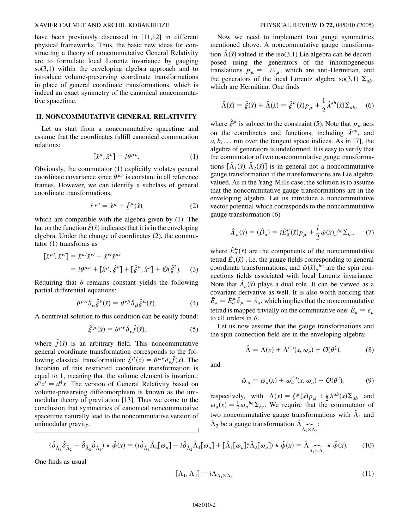#### XAVIER CALMET AND ARCHIL KOBAKHIDZE PHYSICAL REVIEW D **72,** 045010 (2005)

have been previously discussed in [11,12] in different physical frameworks. Thus, the basic new ideas for constructing a theory of noncommutative General Relativity are to formulate local Lorentz invariance by gauging  $so(3,1)$  within the enveloping algebra approach and to introduce volume-preserving coordinate transformations in place of general coordinate transformations, which is indeed an exact symmetry of the canonical noncommutative spacetime.

#### **II. NONCOMMUTATIVE GENERAL RELATIVITY**

Let us start from a noncommutative spacetime and assume that the coordinates fulfill canonical commutation relations:

$$
\[\hat{x}^{\mu}, \hat{x}^{\nu}\] = i\theta^{\mu\nu}.\tag{1}
$$

Obviously, the commutator (1) explicitly violates general coordinate covariance since  $\theta^{\mu\nu}$  is constant in all reference frames. However, we can identify a subclass of general coordinate transformations,

$$
\hat{x}^{\mu\prime} = \hat{x}^{\mu} + \hat{\xi}^{\mu}(\hat{x}),\tag{2}
$$

which are compatible with the algebra given by (1). The hat on the function  $\hat{\xi}(\hat{x})$  indicates that it is in the enveloping algebra. Under the change of coordinates (2), the commutator (1) transforms as

$$
\begin{aligned} \left[\hat{x}^{\mu\prime}, \hat{x}^{\nu\prime}\right] &= \hat{x}^{\mu\prime} \hat{x}^{\nu\prime} - \hat{x}^{\nu\prime} \hat{x}^{\mu\prime} \\ &= i\theta^{\mu\nu} + \left[\hat{x}^{\mu}, \hat{\xi}^{\nu}\right] + \left[\hat{\xi}^{\mu}, \hat{x}^{\nu}\right] + \mathcal{O}(\hat{\xi}^{2}). \end{aligned} \tag{3}
$$

Requiring that  $\theta$  remains constant yields the following partial differential equations:

$$
\theta^{\mu\alpha}\hat{\partial}_{\alpha}\hat{\xi}^{\nu}(\hat{x}) = \theta^{\nu\beta}\hat{\partial}_{\beta}\hat{\xi}^{\mu}(\hat{x}).
$$
\n(4)

A nontrivial solution to this condition can be easily found:

$$
\hat{\xi}^{\mu}(\hat{x}) = \theta^{\mu\nu} \hat{\partial}_{\nu} \hat{f}(\hat{x}), \tag{5}
$$

where  $\hat{f}(\hat{x})$  is an arbitrary field. This noncommutative general coordinate transformation corresponds to the following classical transformation:  $\hat{\xi}^{\mu}(x) = \theta^{\mu\nu}\partial_{\nu}\hat{f}(x)$ . The Jacobian of this restricted coordinate transformation is equal to 1, meaning that the volume element is invariant:  $d^4x' = d^4x$ . The version of General Relativity based on volume-preserving diffeomorphism is known as the unimodular theory of gravitation [13]. Thus we come to the conclusion that symmetries of canonical noncommutative spacetime naturally lead to the noncommutative version of unimodular gravity.

Now we need to implement two gauge symmetries mentioned above. A noncommutative gauge transformation  $\hat{\Lambda}(\hat{x})$  valued in the iso(3,1) Lie algebra can be decomposed using the generators of the inhomogeneous translations  $p_{\mu} = -i\partial_{\mu}$ , which are anti-Hermitian, and the generators of the local Lorentz algebra so(3,1)  $\Sigma_{ab}$ , which are Hermitian. One finds

$$
\hat{\Lambda}(\hat{x}) = \hat{\xi}(\hat{x}) + \hat{\Lambda}(\hat{x}) = \hat{\xi}^{\mu}(\hat{x})p_{\mu} + \frac{1}{2}\hat{\lambda}^{ab}(\hat{x})\Sigma_{ab}, \quad (6)
$$

where  $\hat{\xi}^{\mu}$  is subject to the constraint (5). Note that  $p_{\mu}$  acts on the coordinates and functions, including  $\hat{\lambda}^{ab}$ , and *a; b;* ... run over the tangent space indices. As in [7], the algebra of generators is undeformed. It is easy to verify that the commutator of two noncommutative gauge transformations  $[\hat{\Lambda}_1(\hat{x}), \hat{\Lambda}_2(\hat{x})]$  is in general not a noncommutative gauge transformation if the transformations are Lie algebra valued. As in the Yang-Mills case, the solution is to assume that the noncommutative gauge transformations are in the enveloping algebra. Let us introduce a noncommutative vector potential which corresponds to the noncommutative gauge transformation (6)

$$
\hat{A}_a(\hat{x}) = (\hat{D}_a) = i\hat{E}_a^{\mu}(\hat{x})p_{\mu} + \frac{i}{2}\hat{\omega}(\hat{x})_a{}^{bc}\Sigma_{bc}, \quad (7)
$$

where  $\hat{E}^{\mu}_a(\hat{x})$  are the components of the noncommutative tetrad  $\hat{E}_a(\hat{x})$ , i.e. the gauge fields corresponding to general coordinate transformations, and  $\hat{\omega}(\hat{x})_a{}^{bc}$  are the spin connections fields associated with local Lorentz invariance. Note that  $\hat{A}_a(\hat{x})$  plays a dual role. It can be viewed as a covariant derivative as well. It is also worth noticing that  $\hat{E}_a = \hat{E}_a^{\mu} \hat{\partial}_{\mu} = \hat{\partial}_a$ , which implies that the noncommutative tetrad is mapped trivially on the commutative one:  $\hat{E}_a = e_a$ to all orders in  $\theta$ .

Let us now assume that the gauge transformations and the spin connection field are in the enveloping algebra:

$$
\hat{\Lambda} = \Lambda(x) + \Lambda^{(1)}(x, \omega_a) + \mathcal{O}(\theta^2), \tag{8}
$$

and

$$
\hat{\omega}_a = \omega_a(x) + \omega_a^{(1)}(x, \omega_a) + \mathcal{O}(\theta^2), \tag{9}
$$

respectively, with  $\Lambda(x) = \xi^{\mu}(x) p_{\mu} + \frac{1}{2} \lambda^{ab}(x) \Sigma_{ab}$  and  $\omega_a(x) = \frac{1}{2} \omega_a{}^{bc} \Sigma_{bc}$ . We require that the commutator of two noncommutative gauge transformations with  $\hat{\Lambda}_1$  and  $\hat{\Lambda}_2$  be a gauge transformation  $\hat{\Lambda}$  $\Lambda_1 \times \Lambda_2$ :

$$
(\hat{\delta}_{\hat{\Lambda}_1}\hat{\delta}_{\hat{\Lambda}_2} - \hat{\delta}_{\hat{\Lambda}_2}\hat{\delta}_{\hat{\Lambda}_1}) \star \hat{\phi}(x) = (i\hat{\delta}_{\hat{\Lambda}_1}\hat{\Lambda}_2[\omega_a] - i\hat{\delta}_{\hat{\Lambda}_2}\hat{\Lambda}_1[\omega_a] + [\hat{\Lambda}_1[\omega_a]\star\hat{\Lambda}_2[\omega_a]) \star \hat{\phi}(x) = \hat{\Lambda}_{\hat{\Lambda}_1 \times \hat{\Lambda}_2} \star \hat{\phi}(x). \tag{10}
$$

One finds as usual

$$
[\Lambda_1, \Lambda_2] = i\Lambda_{\Lambda_1 \times \Lambda_2} \tag{11}
$$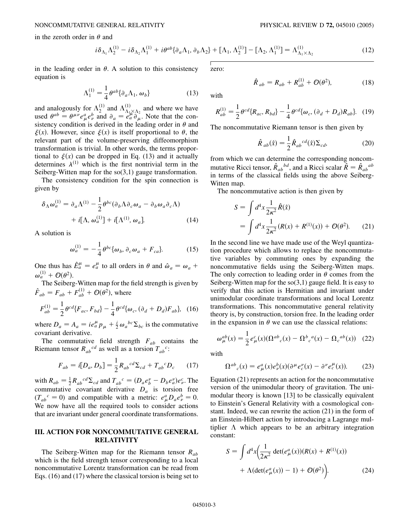in the zeroth order in  $\theta$  and

$$
i\delta_{\Lambda_1}\Lambda_2^{(1)} - i\delta_{\Lambda_2}\Lambda_1^{(1)} + i\theta^{ab}\{\partial_a\Lambda_1, \partial_b\Lambda_2\} + [\Lambda_1, \Lambda_2^{(1)}] - [\Lambda_2, \Lambda_1^{(1)}] = \Lambda_{\Lambda_1 \times \Lambda_2}^{(1)}
$$
(12)

in the leading order in  $\theta$ . A solution to this consistency equation is

$$
\Lambda_1^{(1)} = \frac{1}{4} \theta^{ab} \{ \partial_a \Lambda_1, \omega_b \}
$$
 (13)

and analogously for  $\Lambda_2^{(1)}$  and  $\Lambda_{\Lambda_1}^{(1)}$  $\Lambda_{1}^{(1)} \times \Lambda_{2}$  and where we have used  $\theta^{ab} = \theta^{\mu\nu} e^a_\mu e^b_\nu$  and  $\partial_a = \theta^{a}_{a} \frac{\partial^a_\mu \hat{A}^b}{\partial \mu}$ . Note that the consistency condition is derived in the leading order in  $\theta$  and  $\xi(x)$ . However, since  $\xi(x)$  is itself proportional to  $\theta$ , the relevant part of the volume-preserving diffeomorphism transformation is trivial. In other words, the terms proportional to  $\xi(x)$  can be dropped in Eq. (13) and it actually determines  $\lambda^{(1)}$  which is the first nontrivial term in the Seiberg-Witten map for the so(3,1) gauge transformation.

The consistency condition for the spin connection is given by

$$
\delta_{\Lambda}\omega_a^{(1)} = \partial_a \Lambda^{(1)} - \frac{1}{2} \theta^{bc} (\partial_b \Lambda \partial_c \omega_a - \partial_b \omega_a \partial_c \Lambda)
$$

$$
+ i[\Lambda, \omega_a^{(1)}] + i[\Lambda^{(1)}, \omega_a]. \tag{14}
$$

A solution is

$$
\omega_a^{(1)} = -\frac{1}{4} \theta^{bc} \{ \omega_b, \partial_c \omega_a + F_{ca} \}.
$$
 (15)

One thus has  $\hat{E}^{\mu}_a = e^{\mu}_a$  to all orders in  $\theta$  and  $\hat{\omega}_a = \omega_a + \omega_a$  $\omega_a^{(1)} + \mathcal{O}(\theta^2)$ .

The Seiberg-Witten map for the field strength is given by  $\hat{F}_{ab} = F_{ab} + F_{ab}^{(1)} + \mathcal{O}(\theta^2)$ , where

$$
F_{ab}^{(1)} = \frac{1}{2} \theta^{cd} \{ F_{ac}, F_{bd} \} - \frac{1}{4} \theta^{cd} \{ \omega_c, (\partial_d + D_d) F_{ab} \}, \quad (16)
$$

where  $D_a = A_a = ie_a^{\mu} p_{\mu} + \frac{i}{2} \omega_a{}^{bc} \Sigma_{bc}$  is the commutative covariant derivative.

The commutative field strength *Fab* contains the Riemann tensor  $R_{ab}^{c}$  as well as a torsion  $T_{ab}^{c}$ :

$$
F_{ab} = i[D_a, D_b] = \frac{1}{2} R_{ab}{}^{cd} \Sigma_{cd} + T_{ab}{}^{c} D_c \qquad (17)
$$

with  $R_{ab} = \frac{1}{2} R_{ab}{}^{cd} \Sigma_{cd}$  and  $T_{ab}{}^{c} = (D_a e_b^{\nu} - D_b e_a^{\nu}) e_v^c$ . The commutative covariant derivative  $D_a$  is torsion free  $(T_{ab}^c = 0)$  and compatible with a metric:  $e^a_\mu D_a e^b_\nu = 0$ . We now have all the required tools to consider actions that are invariant under general coordinate transformations.

#### **III. ACTION FOR NONCOMMUTATIVE GENERAL RELATIVITY**

The Seiberg-Witten map for the Riemann tensor *Rab* which is the field strength tensor corresponding to a local noncommutative Lorentz transformation can be read from Eqs. (16) and (17) where the classical torsion is being set to zero:

$$
\hat{R}_{ab} = R_{ab} + R_{ab}^{(1)} + \mathcal{O}(\theta^2), \tag{18}
$$

with

$$
R_{ab}^{(1)} = \frac{1}{2} \theta^{cd} \{R_{ac}, R_{bd}\} - \frac{1}{4} \theta^{cd} \{ \omega_c, (\partial_d + D_d) R_{ab} \}. \quad (19)
$$

The noncommutative Riemann tensor is then given by

$$
\hat{R}_{ab}(\hat{x}) = \frac{1}{2} \hat{R}_{ab}^{cd}(\hat{x}) \Sigma_{cd},
$$
\n(20)

from which we can determine the corresponding noncommutative Ricci tensor,  $\hat{R}_{ab}^{bd}$ , and a Ricci scalar  $\hat{R} = \hat{R}_{ab}^{ab}$ in terms of the classical fields using the above Seiberg-Witten map.

The noncommutative action is then given by

$$
S = \int d^4x \frac{1}{2\kappa^2} \hat{R}(\hat{x})
$$
  
= 
$$
\int d^4x \frac{1}{2\kappa^2} (R(x) + R^{(1)}(x)) + \mathcal{O}(\theta^2).
$$
 (21)

In the second line we have made use of the Weyl quantization procedure which allows to replace the noncommutative variables by commuting ones by expanding the noncommutative fields using the Seiberg-Witten maps. The only correction to leading order in  $\theta$  comes from the Seiberg-Witten map for the  $\text{so}(3,1)$  gauge field. It is easy to verify that this action is Hermitian and invariant under unimodular coordinate transformations and local Lorentz transformations. This noncommutative general relativity theory is, by construction, torsion free. In the leading order in the expansion in  $\theta$  we can use the classical relations:

$$
\omega_{\mu}^{ab}(x) = \frac{1}{2} e_{\mu}^{c}(x) (\Omega^{ab}{}_{c}(x) - \Omega^{b}{}_{c}{}^{a}(x) - \Omega_{c}{}^{ab}(x)) \quad (22)
$$

with

$$
\Omega^{ab}{}_{c}(x) = e^{a}_{\mu}(x)e^{b}_{\nu}(x)(\partial^{\mu}e^{\nu}_{c}(x) - \partial^{\nu}e^{\mu}_{c}(x)).
$$
 (23)

Equation (21) represents an action for the noncommutative version of the unimodular theory of gravitation. The unimodular theory is known [13] to be classically equivalent to Einstein's General Relativity with a cosmological constant. Indeed, we can rewrite the action (21) in the form of an Einstein-Hilbert action by introducing a Lagrange multiplier  $\Lambda$  which appears to be an arbitrary integration constant:

$$
S = \int d^4x \left( \frac{1}{2\kappa^2} \det(e^a_\mu(x)) (R(x) + R^{(1)}(x)) + \Lambda (\det(e^a_\mu(x)) - 1) + \mathcal{O}(\theta^2) \right).
$$
 (24)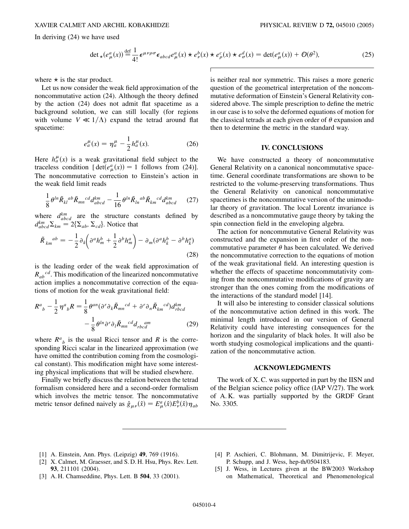In deriving (24) we have used

$$
\det_{\star}(e_{\mu}^{a}(x)) \stackrel{\text{def}}{=} \frac{1}{4!} \epsilon^{\mu\nu\rho\sigma} \epsilon_{abcd} e_{\mu}^{a}(x) \star e_{\nu}^{b}(x) \star e_{\rho}^{c}(x) \star e_{\sigma}^{d}(x) = \det(e_{\mu}^{a}(x)) + \mathcal{O}(\theta^{2}), \tag{25}
$$

 $\overline{1}$ 

where  $\star$  is the star product.

Let us now consider the weak field approximation of the noncommutative action (24). Although the theory defined by the action (24) does not admit flat spacetime as a background solution, we can still locally (for regions with volume  $V \ll 1/\Lambda$  expand the tetrad around flat spacetime:

$$
e_a^{\mu}(x) = \eta_a^{\mu} - \frac{1}{2} h_a^{\mu}(x).
$$
 (26)

Here  $h_a^{\mu}(x)$  is a weak gravitational field subject to the traceless condition [det $(e^a_\mu(x)) = 1$  follows from (24)]. The noncommutative correction to Einstein's action in the weak field limit reads

$$
\frac{1}{8}\theta^{ln}\tilde{R}_{kl}^{ab}\tilde{R}_{mn}^{cd}d_{abcd}^{km} - \frac{1}{16}\theta^{ln}\tilde{R}_{ln}^{ab}\tilde{R}_{km}^{cd}d_{abcd}^{km} \qquad (27)
$$

where  $d_{abcd}^{km}$  are the structure constants defined by  $d_{abcd}^{km} \Sigma_{km} = 2\{\Sigma_{ab}, \Sigma_{cd}\}.$  Notice that

$$
\tilde{R}_{km}{}^{ab} = -\frac{1}{2} \partial_k \left( \partial^a h_m^b + \frac{1}{2} \partial^b h_m^a \right) - \partial_m (\partial^a h_k^b - \partial^b h_k^a)
$$
\n(28)

is the leading order of the weak field approximation of  $R_{ab}^{c}$ <sup>cd</sup>. This modification of the linearized noncommutative action implies a noncommutative correction of the equations of motion for the weak gravitational field:

$$
R^{a}{}_{b} - \frac{1}{2} \eta^{a}{}_{b} R = \frac{1}{8} \theta^{an} (\partial^{r} \partial_{k} \tilde{R}_{mn}{}^{cd} + \partial^{r} \partial_{n} \tilde{R}_{km}{}^{cd}) d_{rbcd}^{km} - \frac{1}{8} \theta^{ln} \partial^{r} \partial_{l} \tilde{R}_{mn}{}^{cd} d_{rbcd}{}^{am}
$$
(29)

where  $R^a$ <sub>b</sub> is the usual Ricci tensor and *R* is the corresponding Ricci scalar in the linearized approximation (we have omitted the contribution coming from the cosmological constant). This modification might have some interesting physical implications that will be studied elsewhere.

Finally we briefly discuss the relation between the tetrad formalism considered here and a second-order formalism which involves the metric tensor. The noncommutative metric tensor defined naively as  $\hat{g}_{\mu\nu}(\hat{x}) = E^a_\mu(\hat{x}) E^b_\nu(\hat{x}) \eta_{ab}$ 

is neither real nor symmetric. This raises a more generic question of the geometrical interpretation of the noncommutative deformation of Einstein's General Relativity considered above. The simple prescription to define the metric in our case is to solve the deformed equations of motion for the classical tetrads at each given order of  $\theta$  expansion and then to determine the metric in the standard way.

#### **IV. CONCLUSIONS**

We have constructed a theory of noncommutative General Relativity on a canonical noncommutative spacetime. General coordinate transformations are shown to be restricted to the volume-preserving transformations. Thus the General Relativity on canonical noncommutative spacetimes is the noncommutative version of the unimodular theory of gravitation. The local Lorentz invariance is described as a noncommutative gauge theory by taking the spin connection field in the enveloping algebra.

The action for noncommutative General Relativity was constructed and the expansion in first order of the noncommutative parameter  $\theta$  has been calculated. We derived the noncommutative correction to the equations of motion of the weak gravitational field. An interesting question is whether the effects of spacetime noncommutativity coming from the noncommutative modifications of gravity are stronger than the ones coming from the modifications of the interactions of the standard model [14].

It will also be interesting to consider classical solutions of the noncommutative action defined in this work. The minimal length introduced in our version of General Relativity could have interesting consequences for the horizon and the singularity of black holes. It will also be worth studying cosmological implications and the quantization of the noncommutative action.

#### **ACKNOWLEDGMENTS**

The work of X. C. was supported in part by the IISN and of the Belgian science policy office (IAP V/27). The work of A. K. was partially supported by the GRDF Grant No. 3305.

- [1] A. Einstein, Ann. Phys. (Leipzig) **49**, 769 (1916).
- [2] X. Calmet, M. Graesser, and S. D. H. Hsu, Phys. Rev. Lett. **93**, 211101 (2004).
- [3] A. H. Chamseddine, Phys. Lett. B **504**, 33 (2001).
- [4] P. Aschieri, C. Blohmann, M. Dimitrijevic, F. Meyer, P. Schupp, and J. Wess, hep-th/0504183.
- [5] J. Wess, in Lectures given at the BW2003 Workshop on Mathematical, Theoretical and Phenomenological